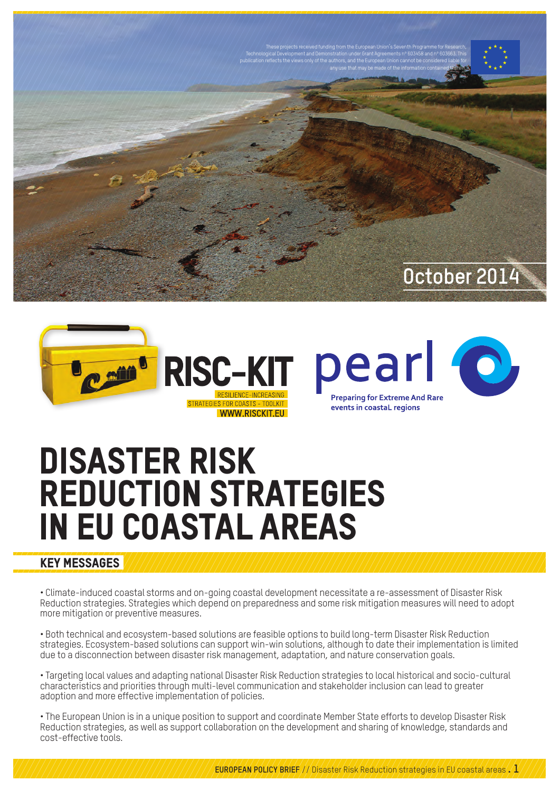



## Disaster Risk Reduction strategies in EU coastal areas

## KEY messages

• Climate-induced coastal storms and on-going coastal development necessitate a re-assessment of Disaster Risk Reduction strategies. Strategies which depend on preparedness and some risk mitigation measures will need to adopt more mitigation or preventive measures.

• Both technical and ecosystem-based solutions are feasible options to build long-term Disaster Risk Reduction strategies. Ecosystem-based solutions can support win-win solutions, although to date their implementation is limited due to a disconnection between disaster risk management, adaptation, and nature conservation goals.

• Targeting local values and adapting national Disaster Risk Reduction strategies to local historical and socio-cultural characteristics and priorities through multi-level communication and stakeholder inclusion can lead to greater adoption and more effective implementation of policies.

• The European Union is in a unique position to support and coordinate Member State efforts to develop Disaster Risk Reduction strategies, as well as support collaboration on the development and sharing of knowledge, standards and cost-effective tools.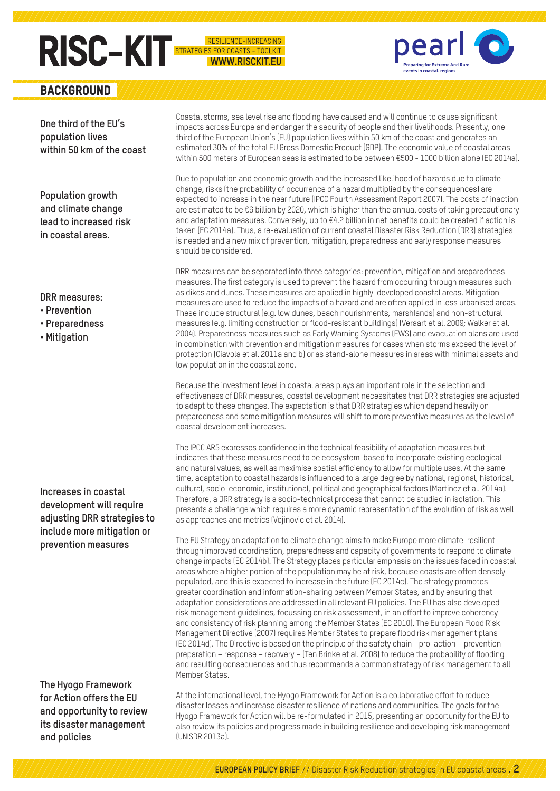# **RISC-KIT**

**BACKGROUND** 

**One third of the EU's population lives within 50 km of the coast**

**Population growth and climate change lead to increased risk in coastal areas.** 

### **DRR measures:**

- **Prevention**
- **Preparedness**
- **Mitigation**

**Increases in coastal development will require adjusting DRR strategies to include more mitigation or prevention measures**

**The Hyogo Framework for Action offers the EU and opportunity to review its disaster management and policies**

Coastal storms, sea level rise and flooding have caused and will continue to cause significant impacts across Europe and endanger the security of people and their livelihoods. Presently, one third of the European Union's (EU) population lives within 50 km of the coast and generates an estimated 30% of the total EU Gross Domestic Product (GDP). The economic value of coastal areas within 500 meters of European seas is estimated to be between €500 - 1000 billion alone (EC 2014a).

ES FOR COASTS - TOOLKIT **WWW.RISCKIT.EU**  pear

naring for Extreme And Rar

Due to population and economic growth and the increased likelihood of hazards due to climate change, risks (the probability of occurrence of a hazard multiplied by the consequences) are expected to increase in the near future (IPCC Fourth Assessment Report 2007). The costs of inaction are estimated to be €6 billion by 2020, which is higher than the annual costs of taking precautionary and adaptation measures. Conversely, up to €4.2 billion in net benefits could be created if action is taken (EC 2014a). Thus, a re-evaluation of current coastal Disaster Risk Reduction (DRR) strategies is needed and a new mix of prevention, mitigation, preparedness and early response measures should be considered.

DRR measures can be separated into three categories: prevention, mitigation and preparedness measures. The first category is used to prevent the hazard from occurring through measures such as dikes and dunes. These measures are applied in highly-developed coastal areas. Mitigation measures are used to reduce the impacts of a hazard and are often applied in less urbanised areas. These include structural (e.g. low dunes, beach nourishments, marshlands) and non-structural measures (e.g. limiting construction or flood-resistant buildings) (Veraart et al. 2009; Walker et al. 2004). Preparedness measures such as Early Warning Systems (EWS) and evacuation plans are used in combination with prevention and mitigation measures for cases when storms exceed the level of protection (Ciavola et al. 2011a and b) or as stand-alone measures in areas with minimal assets and low population in the coastal zone.

Because the investment level in coastal areas plays an important role in the selection and effectiveness of DRR measures, coastal development necessitates that DRR strategies are adjusted to adapt to these changes. The expectation is that DRR strategies which depend heavily on preparedness and some mitigation measures will shift to more preventive measures as the level of coastal development increases.

The IPCC AR5 expresses confidence in the technical feasibility of adaptation measures but indicates that these measures need to be ecosystem-based to incorporate existing ecological and natural values, as well as maximise spatial efficiency to allow for multiple uses. At the same time, adaptation to coastal hazards is influenced to a large degree by national, regional, historical, cultural, socio-economic, institutional, political and geographical factors (Martinez et al. 2014a). Therefore, a DRR strategy is a socio-technical process that cannot be studied in isolation. This presents a challenge which requires a more dynamic representation of the evolution of risk as well as approaches and metrics (Vojinovic et al. 2014).

The EU Strategy on adaptation to climate change aims to make Europe more climate-resilient through improved coordination, preparedness and capacity of governments to respond to climate change impacts (EC 2014b). The Strategy places particular emphasis on the issues faced in coastal areas where a higher portion of the population may be at risk, because coasts are often densely populated, and this is expected to increase in the future (EC 2014c). The strategy promotes greater coordination and information-sharing between Member States, and by ensuring that adaptation considerations are addressed in all relevant EU policies. The EU has also developed risk management guidelines, focussing on risk assessment, in an effort to improve coherency and consistency of risk planning among the Member States (EC 2010). The European Flood Risk Management Directive (2007) requires Member States to prepare flood risk management plans (EC 2014d). The Directive is based on the principle of the safety chain - pro-action – prevention – preparation – response – recovery – (Ten Brinke et al. 2008) to reduce the probability of flooding and resulting consequences and thus recommends a common strategy of risk management to all Member States.

At the international level, the Hyogo Framework for Action is a collaborative effort to reduce disaster losses and increase disaster resilience of nations and communities. The goals for the Hyogo Framework for Action will be re-formulated in 2015, presenting an opportunity for the EU to also review its policies and progress made in building resilience and developing risk management (UNISDR 2013a).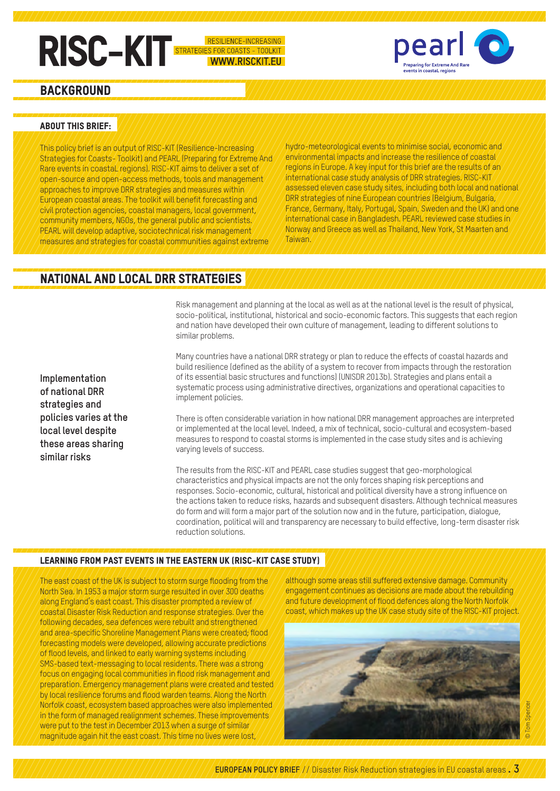# **RISC-KIT**

IENCE-INCREASING ES FOR COASTS - TOOLKIT **WWW.RISCKIT.EU** 



## **BACKGROUND**

### About this brief:

This policy brief is an output of RISC-KIT (Resilience-Increasing Strategies for Coasts- Toolkit) and PEARL (Preparing for Extreme And Rare events in coastaL regions). RISC-KIT aims to deliver a set of open-source and open-access methods, tools and management approaches to improve DRR strategies and measures within European coastal areas. The toolkit will benefit forecasting and civil protection agencies, coastal managers, local government, community members, NGOs, the general public and scientists. PEARL will develop adaptive, sociotechnical risk management measures and strategies for coastal communities against extreme

hydro-meteorological events to minimise social, economic and environmental impacts and increase the resilience of coastal regions in Europe. A key input for this brief are the results of an international case study analysis of DRR strategies. RISC-KIT assessed eleven case study sites, including both local and national DRR strategies of nine European countries (Belgium, Bulgaria, France, Germany, Italy, Portugal, Spain, Sweden and the UK) and one international case in Bangladesh. PEARL reviewed case studies in Norway and Greece as well as Thailand, New York, St Maarten and Taiwan.

## National and local DRR strategies

Risk management and planning at the local as well as at the national level is the result of physical, socio-political, institutional, historical and socio-economic factors. This suggests that each region and nation have developed their own culture of management, leading to different solutions to similar problems.

**Implementation of national DRR strategies and policies varies at the local level despite these areas sharing similar risks**

Many countries have a national DRR strategy or plan to reduce the effects of coastal hazards and build resilience (defined as the ability of a system to recover from impacts through the restoration of its essential basic structures and functions) (UNISDR 2013b). Strategies and plans entail a systematic process using administrative directives, organizations and operational capacities to implement policies.

There is often considerable variation in how national DRR management approaches are interpreted or implemented at the local level. Indeed, a mix of technical, socio-cultural and ecosystem-based measures to respond to coastal storms is implemented in the case study sites and is achieving varying levels of success.

The results from the RISC-KIT and PEARL case studies suggest that geo-morphological characteristics and physical impacts are not the only forces shaping risk perceptions and responses. Socio-economic, cultural, historical and political diversity have a strong influence on the actions taken to reduce risks, hazards and subsequent disasters. Although technical measures do form and will form a major part of the solution now and in the future, participation, dialogue, coordination, political will and transparency are necessary to build effective, long-term disaster risk reduction solutions.

### Learning from past events in the Eastern UK (RISC-KIT case study)

The east coast of the UK is subject to storm surge flooding from the North Sea. In 1953 a major storm surge resulted in over 300 deaths along England's east coast. This disaster prompted a review of coastal Disaster Risk Reduction and response strategies. Over the following decades, sea defences were rebuilt and strengthened and area-specific Shoreline Management Plans were created; flood forecasting models were developed, allowing accurate predictions of flood levels, and linked to early warning systems including SMS-based text-messaging to local residents. There was a strong focus on engaging local communities in flood risk management and preparation. Emergency management plans were created and tested by local resilience forums and flood warden teams. Along the North Norfolk coast, ecosystem based approaches were also implemented in the form of managed realignment schemes. These improvements were put to the test in December 2013 when a surge of similar magnitude again hit the east coast. This time no lives were lost,

although some areas still suffered extensive damage. Community engagement continues as decisions are made about the rebuilding and future development of flood defences along the North Norfolk coast, which makes up the UK case study site of the RISC-KIT project.

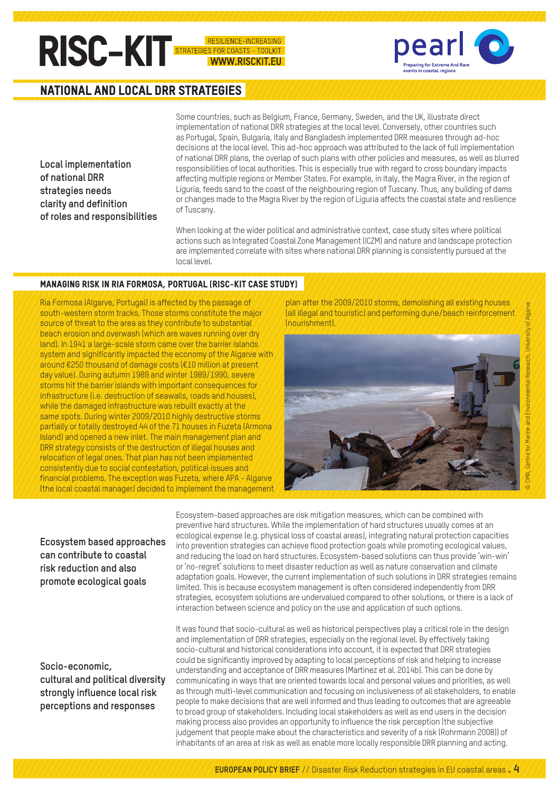## **RISC-KIT**

ES FOR COASTS - TOOLKIT WWW.RISCKIT.FU



## National and local DRR strategies

**Local implementation of national DRR strategies needs clarity and definition of roles and responsibilities** Some countries, such as Belgium, France, Germany, Sweden, and the UK, illustrate direct implementation of national DRR strategies at the local level. Conversely, other countries such as Portugal, Spain, Bulgaria, Italy and Bangladesh implemented DRR measures through ad-hoc decisions at the local level. This ad-hoc approach was attributed to the lack of full implementation of national DRR plans, the overlap of such plans with other policies and measures, as well as blurred responsibilities of local authorities. This is especially true with regard to cross boundary impacts affecting multiple regions or Member States. For example, in Italy, the Magra River, in the region of Liguria, feeds sand to the coast of the neighbouring region of Tuscany. Thus, any building of dams or changes made to the Magra River by the region of Liguria affects the coastal state and resilience of Tuscany.

When looking at the wider political and administrative context, case study sites where political actions such as Integrated Coastal Zone Management (ICZM) and nature and landscape protection are implemented correlate with sites where national DRR planning is consistently pursued at the local level.

#### Managing risk in Ria Formosa, Portugal (RISC-KIT case study)

Ria Formosa (Algarve, Portugal) is affected by the passage of south-western storm tracks. Those storms constitute the major  $\lambda$ source of threat to the area as they contribute to substantial beach erosion and overwash (which are waves running over dry land). In 1941 a large-scale storm came over the barrier islands system and significantly impacted the economy of the Algarve with around €250 thousand of damage costs (€10 million at present day value). During autumn 1989 and winter 1989/1990, severe storms hit the barrier islands with important consequences for infrastructure (i.e. destruction of seawalls, roads and houses), while the damaged infrastructure was rebuilt exactly at the same spots. During winter 2009/2010 highly destructive storms partially or totally destroyed 44 of the 71 houses in Fuzeta (Armona Island) and opened a new inlet. The main management plan and  $\sqrt{D}$ RR strategy consists of the destruction of illegal houses and  $\sqrt{D}$ relocation of legal ones. That plan has not been implemented  $\ell$  consistently due to social contestation, political issues and  $\ell$ financial problems. The exception was Fuzeta, where APA - Algarve (the local coastal manager) decided to implement the management plan after the 2009/2010 storms, demolishing all existing houses (all illegal and touristic) and performing dune/beach reinforcement (nourishment).



### **Ecosystem based approaches can contribute to coastal risk reduction and also promote ecological goals**

**Socio-economic, cultural and political diversity strongly influence local risk perceptions and responses**

Ecosystem-based approaches are risk mitigation measures, which can be combined with preventive hard structures. While the implementation of hard structures usually comes at an ecological expense (e.g. physical loss of coastal areas), integrating natural protection capacities into prevention strategies can achieve flood protection goals while promoting ecological values, and reducing the load on hard structures. Ecosystem-based solutions can thus provide 'win-win' or 'no-regret' solutions to meet disaster reduction as well as nature conservation and climate adaptation goals. However, the current implementation of such solutions in DRR strategies remains limited. This is because ecosystem management is often considered independently from DRR strategies, ecosystem solutions are undervalued compared to other solutions, or there is a lack of interaction between science and policy on the use and application of such options.

It was found that socio-cultural as well as historical perspectives play a critical role in the design and implementation of DRR strategies, especially on the regional level. By effectively taking socio-cultural and historical considerations into account, it is expected that DRR strategies could be significantly improved by adapting to local perceptions of risk and helping to increase understanding and acceptance of DRR measures (Martinez et al. 2014b). This can be done by communicating in ways that are oriented towards local and personal values and priorities, as well as through multi-level communication and focusing on inclusiveness of all stakeholders, to enable people to make decisions that are well informed and thus leading to outcomes that are agreeable to broad group of stakeholders. Including local stakeholders as well as end users in the decision making process also provides an opportunity to influence the risk perception (the subjective judgement that people make about the characteristics and severity of a risk (Rohrmann 2008)) of inhabitants of an area at risk as well as enable more locally responsible DRR planning and acting.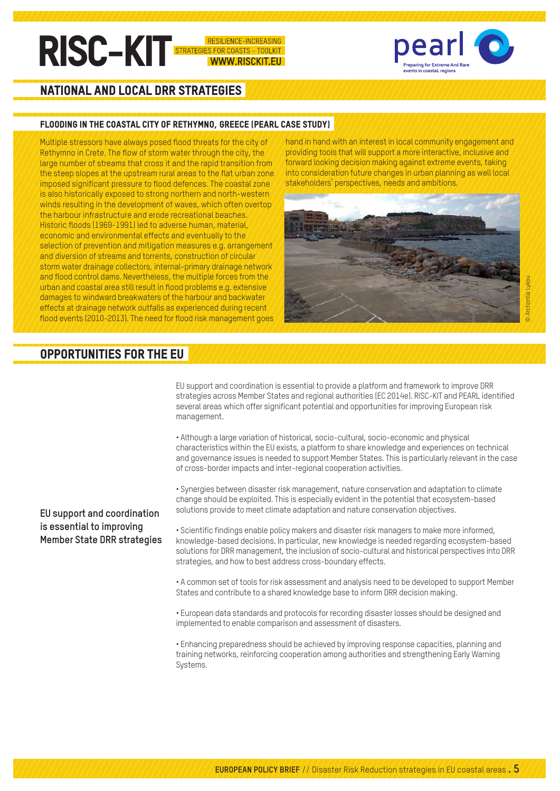## **RISC-KIT** OR COASTS - TOOLKIT WWW.RISCKIT.FU



## National and local DRR strategies

#### Flooding in the coastal city of Rethymno, Greece (PEARL case study)

Multiple stressors have always posed flood threats for the city of  $\lambda$ ethymno in Crete. The flow of storm water through the city, the  $\lambda$ large number of streams that cross it and the rapid transition from  $\mu$ the steep slopes at the upstream rural areas to the flat urban zone imposed significant pressure to flood defences. The coastal zone is also historically exposed to strong northern and north-western winds resulting in the development of waves, which often overtop,  $\lambda$ the harbour infrastructure and erode recreational beaches. Historic floods (1969-1991) led to adverse human, material, economic and environmental effects and eventually to the  $\gamma$ selection of prevention and mitigation measures e.g. arrangement and diversion of streams and torrents, construction of circular storm water drainage collectors, internal-primary drainage network  $\alpha$  and flood control dams. Nevertheless, the multiple forces from the  $\alpha$  $\alpha$ rban and coastal area still result in flood problems e.g. extensive  $\alpha$ damages to windward breakwaters of the harbour and backwater effects at drainage network outfalls as experienced during recent flood events (2010-2013). The need for flood risk management goes

hand in hand with an interest in local community engagement and providing tools that will support a more interactive, inclusive and forward looking decision making against extreme events, taking into consideration future changes in urban planning as well local stakeholders' perspectives, needs and ambitions.



## Opportunities for the EU

EU support and coordination is essential to provide a platform and framework to improve DRR strategies across Member States and regional authorities (EC 2014e). RISC-KIT and PEARL identified several areas which offer significant potential and opportunities for improving European risk management.

• Although a large variation of historical, socio-cultural, socio-economic and physical characteristics within the EU exists, a platform to share knowledge and experiences on technical and governance issues is needed to support Member States. This is particularly relevant in the case of cross-border impacts and inter-regional cooperation activities.

• Synergies between disaster risk management, nature conservation and adaptation to climate change should be exploited. This is especially evident in the potential that ecosystem-based solutions provide to meet climate adaptation and nature conservation objectives.

• Scientific findings enable policy makers and disaster risk managers to make more informed, knowledge-based decisions. In particular, new knowledge is needed regarding ecosystem-based solutions for DRR management, the inclusion of socio-cultural and historical perspectives into DRR strategies, and how to best address cross-boundary effects.

• A common set of tools for risk assessment and analysis need to be developed to support Member States and contribute to a shared knowledge base to inform DRR decision making.

• European data standards and protocols for recording disaster losses should be designed and implemented to enable comparison and assessment of disasters.

• Enhancing preparedness should be achieved by improving response capacities, planning and training networks, reinforcing cooperation among authorities and strengthening Early Warning Systems.

### **EU support and coordination is essential to improving Member State DRR strategies**

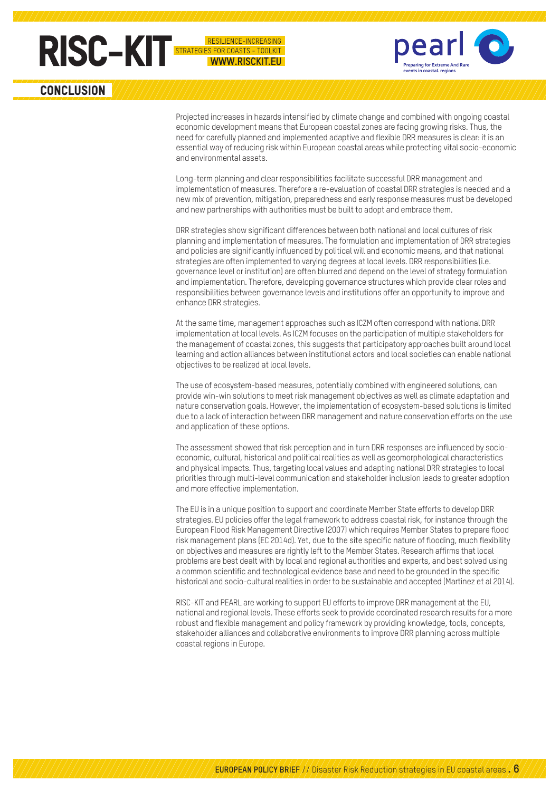

enaring for Extreme And Rai

**CONCLUSION** 

Projected increases in hazards intensified by climate change and combined with ongoing coastal economic development means that European coastal zones are facing growing risks. Thus, the need for carefully planned and implemented adaptive and flexible DRR measures is clear: it is an essential way of reducing risk within European coastal areas while protecting vital socio-economic and environmental assets.

NCF-INCREASING

**WWW.RISCKIT.EU** 

Long-term planning and clear responsibilities facilitate successful DRR management and implementation of measures. Therefore a re-evaluation of coastal DRR strategies is needed and a new mix of prevention, mitigation, preparedness and early response measures must be developed and new partnerships with authorities must be built to adopt and embrace them.

DRR strategies show significant differences between both national and local cultures of risk planning and implementation of measures. The formulation and implementation of DRR strategies and policies are significantly influenced by political will and economic means, and that national strategies are often implemented to varying degrees at local levels. DRR responsibilities (i.e. governance level or institution) are often blurred and depend on the level of strategy formulation and implementation. Therefore, developing governance structures which provide clear roles and responsibilities between governance levels and institutions offer an opportunity to improve and enhance DRR strategies.

At the same time, management approaches such as ICZM often correspond with national DRR implementation at local levels. As ICZM focuses on the participation of multiple stakeholders for the management of coastal zones, this suggests that participatory approaches built around local learning and action alliances between institutional actors and local societies can enable national objectives to be realized at local levels.

The use of ecosystem-based measures, potentially combined with engineered solutions, can provide win-win solutions to meet risk management objectives as well as climate adaptation and nature conservation goals. However, the implementation of ecosystem-based solutions is limited due to a lack of interaction between DRR management and nature conservation efforts on the use and application of these options.

The assessment showed that risk perception and in turn DRR responses are influenced by socioeconomic, cultural, historical and political realities as well as geomorphological characteristics and physical impacts. Thus, targeting local values and adapting national DRR strategies to local priorities through multi-level communication and stakeholder inclusion leads to greater adoption and more effective implementation.

The EU is in a unique position to support and coordinate Member State efforts to develop DRR strategies. EU policies offer the legal framework to address coastal risk, for instance through the European Flood Risk Management Directive (2007) which requires Member States to prepare flood risk management plans (EC 2014d). Yet, due to the site specific nature of flooding, much flexibility on objectives and measures are rightly left to the Member States. Research affirms that local problems are best dealt with by local and regional authorities and experts, and best solved using a common scientific and technological evidence base and need to be grounded in the specific historical and socio-cultural realities in order to be sustainable and accepted (Martinez et al 2014).

RISC-KIT and PEARL are working to support EU efforts to improve DRR management at the EU, national and regional levels. These efforts seek to provide coordinated research results for a more robust and flexible management and policy framework by providing knowledge, tools, concepts, stakeholder alliances and collaborative environments to improve DRR planning across multiple coastal regions in Europe.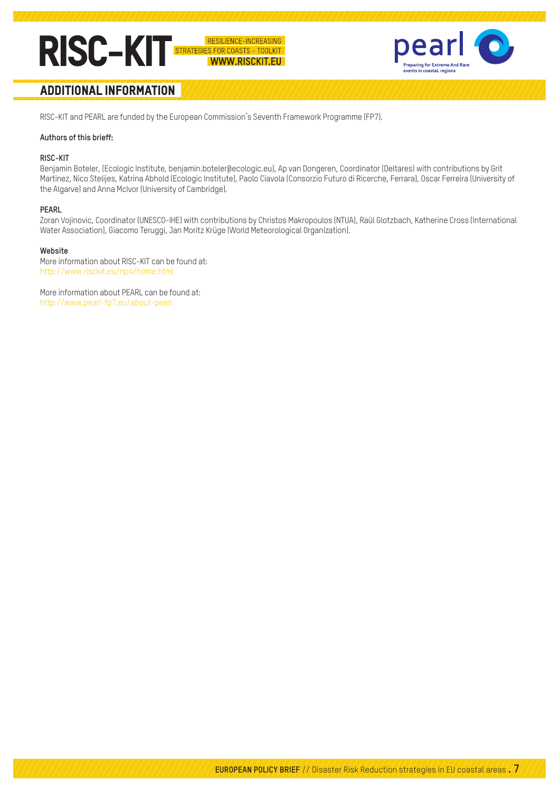



## Additional information

RISC-KIT and PEARL are funded by the European Commission's Seventh Framework Programme (FP7).

#### **Authors of this brieff:**

#### **RISC-KIT**

Benjamin Boteler, (Ecologic Institute, benjamin.boteler@ecologic.eu), Ap van Dongeren, Coordinator (Deltares) with contributions by Grit Martinez, Nico Stelijes, Katrina Abhold (Ecologic Institute), Paolo Ciavola (Consorzio Futuro di Ricerche, Ferrara), Oscar Ferreira (University of the Algarve) and Anna McIvor (University of Cambridge).

#### **PEARL**

Zoran Vojinovic, Coordinator (UNESCO-IHE) with contributions by Christos Makropoulos (NTUA), Raül Glotzbach, Katherine Cross (International Water Association), Giacomo Teruggi, Jan Moritz Krüge (World Meteorological Organization).

#### **Website**

More information about RISC-KIT can be found at: http://www.risckit.eu/np4/home.html

More information about PEARL can be found at: http://www.pearl-fp7.eu/about-pearl